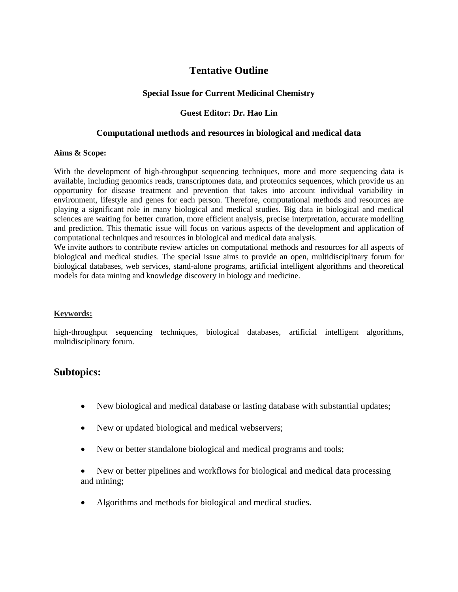# **Tentative Outline**

## **Special Issue for Current Medicinal Chemistry**

## **Guest Editor: Dr. Hao Lin**

### **Computational methods and resources in biological and medical data**

#### **Aims & Scope:**

With the development of high-throughput sequencing techniques, more and more sequencing data is available, including genomics reads, transcriptomes data, and proteomics sequences, which provide us an opportunity for disease treatment and prevention that takes into account individual variability in environment, lifestyle and genes for each person. Therefore, computational methods and resources are playing a significant role in many biological and medical studies. Big data in biological and medical sciences are waiting for better curation, more efficient analysis, precise interpretation, accurate modelling and prediction. This thematic issue will focus on various aspects of the development and application of computational techniques and resources in biological and medical data analysis.

We invite authors to contribute review articles on computational methods and resources for all aspects of biological and medical studies. The special issue aims to provide an open, multidisciplinary forum for biological databases, web services, stand-alone programs, artificial intelligent algorithms and theoretical models for data mining and knowledge discovery in biology and medicine.

#### **Keywords:**

high-throughput sequencing techniques, biological databases, artificial intelligent algorithms, multidisciplinary forum.

## **Subtopics:**

- New biological and medical database or lasting database with substantial updates;
- New or updated biological and medical webservers;
- New or better standalone biological and medical programs and tools;
- New or better pipelines and workflows for biological and medical data processing and mining;
- Algorithms and methods for biological and medical studies.